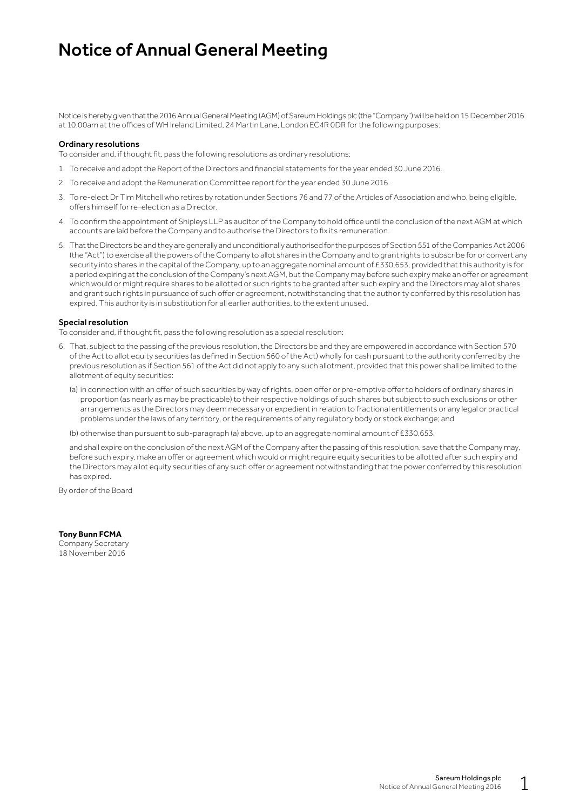### Notice of Annual General Meeting

Notice is hereby given that the 2016 Annual General Meeting (AGM) of Sareum Holdings plc (the "Company") will be held on 15 December 2016 at 10.00am at the offices of WH Ireland Limited, 24 Martin Lane, London EC4R 0DR for the following purposes:

#### Ordinary resolutions

To consider and, if thought fit, pass the following resolutions as ordinary resolutions:

- 1. To receive and adopt the Report of the Directors and financial statements for the year ended 30 June 2016.
- 2. To receive and adopt the Remuneration Committee report for the year ended 30 June 2016.
- 3. To re-elect Dr Tim Mitchell who retires by rotation under Sections 76 and 77 of the Articles of Association and who, being eligible, offers himself for re-election as a Director.
- 4. To confirm the appointment of Shipleys LLP as auditor of the Company to hold office until the conclusion of the next AGM at which accounts are laid before the Company and to authorise the Directors to fix its remuneration.
- 5. That the Directors be and they are generally and unconditionally authorised for the purposes of Section 551 of the Companies Act 2006 (the "Act") to exercise all the powers of the Company to allot shares in the Company and to grant rights to subscribe for or convert any security into shares in the capital of the Company, up to an aggregate nominal amount of £330,653, provided that this authority is for a period expiring at the conclusion of the Company's next AGM, but the Company may before such expiry make an offer or agreement which would or might require shares to be allotted or such rights to be granted after such expiry and the Directors may allot shares and grant such rights in pursuance of such offer or agreement, notwithstanding that the authority conferred by this resolution has expired. This authority is in substitution for all earlier authorities, to the extent unused.

#### Special resolution

To consider and, if thought fit, pass the following resolution as a special resolution:

- 6. That, subject to the passing of the previous resolution, the Directors be and they are empowered in accordance with Section 570 of the Act to allot equity securities (as defined in Section 560 of the Act) wholly for cash pursuant to the authority conferred by the previous resolution as if Section 561 of the Act did not apply to any such allotment, provided that this power shall be limited to the allotment of equity securities:
	- (a) in connection with an offer of such securities by way of rights, open offer or pre-emptive offer to holders of ordinary shares in proportion (as nearly as may be practicable) to their respective holdings of such shares but subject to such exclusions or other arrangements as the Directors may deem necessary or expedient in relation to fractional entitlements or any legal or practical problems under the laws of any territory, or the requirements of any regulatory body or stock exchange; and

(b) otherwise than pursuant to sub-paragraph (a) above, up to an aggregate nominal amount of £330,653,

and shall expire on the conclusion of the next AGM of the Company after the passing of this resolution, save that the Company may, before such expiry, make an offer or agreement which would or might require equity securities to be allotted after such expiry and the Directors may allot equity securities of any such offer or agreement notwithstanding that the power conferred by this resolution has expired.

By order of the Board

**Tony Bunn FCMA** Company Secretary 18 November 2016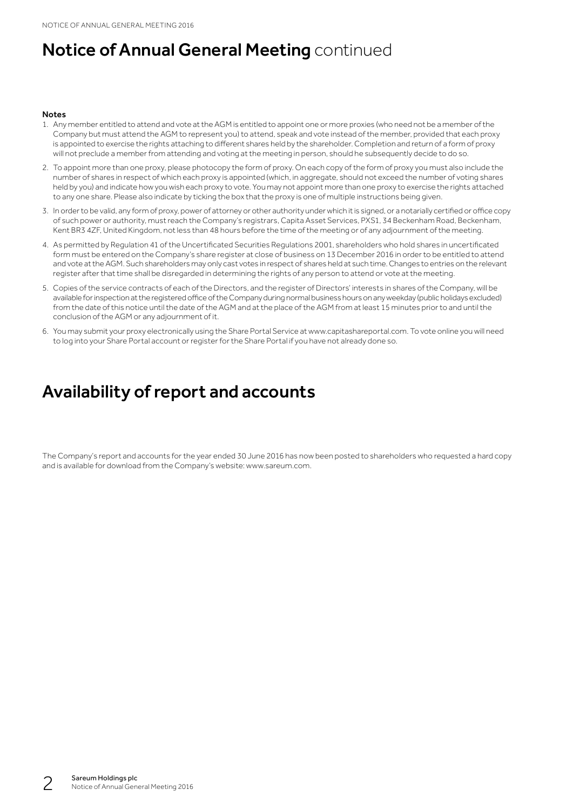# **Notice of Annual General Meeting continued**

#### **Notes**

- 1. Any member entitled to attend and vote at the AGM is entitled to appoint one or more proxies (who need not be a member of the Company but must attend the AGM to represent you) to attend, speak and vote instead of the member, provided that each proxy is appointed to exercise the rights attaching to different shares held by the shareholder. Completion and return of a form of proxy will not preclude a member from attending and voting at the meeting in person, should he subsequently decide to do so.
- 2. To appoint more than one proxy, please photocopy the form of proxy. On each copy of the form of proxy you must also include the number of shares in respect of which each proxy is appointed (which, in aggregate, should not exceed the number of voting shares held by you) and indicate how you wish each proxy to vote. You may not appoint more than one proxy to exercise the rights attached to any one share. Please also indicate by ticking the box that the proxy is one of multiple instructions being given.
- 3. In order to be valid, any form of proxy, power of attorney or other authority under which it is signed, or a notarially certified or office copy of such power or authority, must reach the Company's registrars, Capita Asset Services, PXS1, 34 Beckenham Road, Beckenham, Kent BR3 4ZF, United Kingdom, not less than 48 hours before the time of the meeting or of any adjournment of the meeting.
- 4. As permitted by Regulation 41 of the Uncertificated Securities Regulations 2001, shareholders who hold shares in uncertificated form must be entered on the Company's share register at close of business on 13 December 2016 in order to be entitled to attend and vote at the AGM. Such shareholders may only cast votes in respect of shares held at such time. Changes to entries on the relevant register after that time shall be disregarded in determining the rights of any person to attend or vote at the meeting.
- 5. Copies of the service contracts of each of the Directors, and the register of Directors' interests in shares of the Company, will be available for inspection at the registered office of the Company during normal business hours on any weekday (public holidays excluded) from the date of this notice until the date of the AGM and at the place of the AGM from at least 15 minutes prior to and until the conclusion of the AGM or any adjournment of it.
- 6. You may submit your proxy electronically using the Share Portal Service at www.capitashareportal.com. To vote online you will need to log into your Share Portal account or register for the Share Portal if you have not already done so.

# Availability of report and accounts

The Company's report and accounts for the year ended 30 June 2016 has now been posted to shareholders who requested a hard copy and is available for download from the Company's website: www.sareum.com.